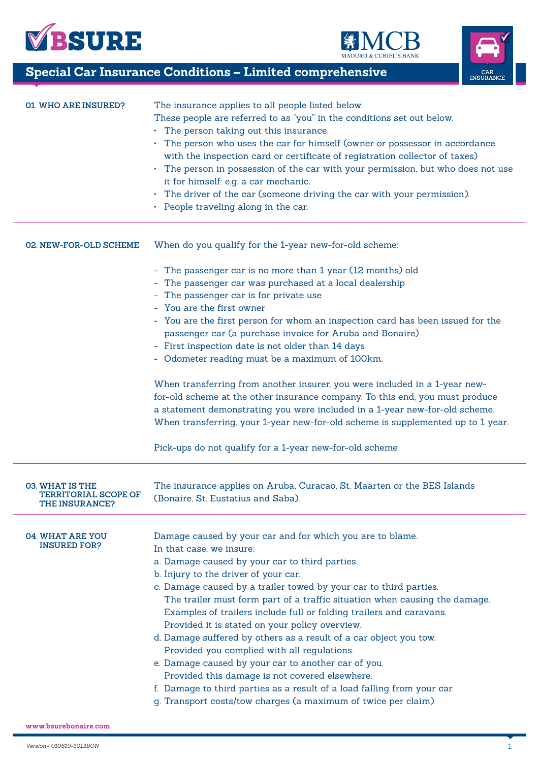





**Special Car Insurance Conditions - Limited comprehensive** 

| <b>01. WHO ARE INSURED?</b>                                                    | The insurance applies to all people listed below.<br>These people are referred to as "you" in the conditions set out below.<br>• The person taking out this insurance.<br>• The person who uses the car for himself (owner or possessor in accordance<br>with the inspection card or certificate of registration collector of taxes)<br>• The person in possession of the car with your permission, but who does not use<br>it for himself: e.g. a car mechanic.<br>• The driver of the car (someone driving the car with your permission).<br>• People traveling along in the car.                                                                                                                                                                                                                                                  |
|--------------------------------------------------------------------------------|--------------------------------------------------------------------------------------------------------------------------------------------------------------------------------------------------------------------------------------------------------------------------------------------------------------------------------------------------------------------------------------------------------------------------------------------------------------------------------------------------------------------------------------------------------------------------------------------------------------------------------------------------------------------------------------------------------------------------------------------------------------------------------------------------------------------------------------|
| 02. NEW-FOR-OLD SCHEME                                                         | When do you qualify for the 1-year new-for-old scheme:                                                                                                                                                                                                                                                                                                                                                                                                                                                                                                                                                                                                                                                                                                                                                                               |
|                                                                                | - The passenger car is no more than 1 year (12 months) old<br>- The passenger car was purchased at a local dealership<br>The passenger car is for private use<br>- You are the first owner<br>- You are the first person for whom an inspection card has been issued for the<br>passenger car (a purchase invoice for Aruba and Bonaire)<br>- First inspection date is not older than 14 days<br>- Odometer reading must be a maximum of 100km.<br>When transferring from another insurer, you were included in a 1-year new-<br>for-old scheme at the other insurance company. To this end, you must produce<br>a statement demonstrating you were included in a 1-year new-for-old scheme.<br>When transferring, your 1-year new-for-old scheme is supplemented up to 1 year.                                                      |
|                                                                                | Pick-ups do not qualify for a 1-year new-for-old scheme                                                                                                                                                                                                                                                                                                                                                                                                                                                                                                                                                                                                                                                                                                                                                                              |
| <b>03. WHAT IS THE</b><br><b>TERRITORIAL SCOPE OF</b><br><b>THE INSURANCE?</b> | The insurance applies on Aruba, Curacao, St. Maarten or the BES Islands<br>(Bonaire, St. Eustatius and Saba).                                                                                                                                                                                                                                                                                                                                                                                                                                                                                                                                                                                                                                                                                                                        |
| <b>04. WHAT ARE YOU</b><br><b>INSURED FOR?</b>                                 | Damage caused by your car and for which you are to blame.<br>In that case, we insure:<br>a. Damage caused by your car to third parties.<br>b. Injury to the driver of your car.<br>c. Damage caused by a trailer towed by your car to third parties.<br>The trailer must form part of a traffic situation when causing the damage.<br>Examples of trailers include full or folding trailers and caravans.<br>Provided it is stated on your policy overview.<br>d. Damage suffered by others as a result of a car object you tow.<br>Provided you complied with all regulations.<br>e. Damage caused by your car to another car of you.<br>Provided this damage is not covered elsewhere.<br>f. Damage to third parties as a result of a load falling from your car.<br>g. Transport costs/tow charges (a maximum of twice per claim) |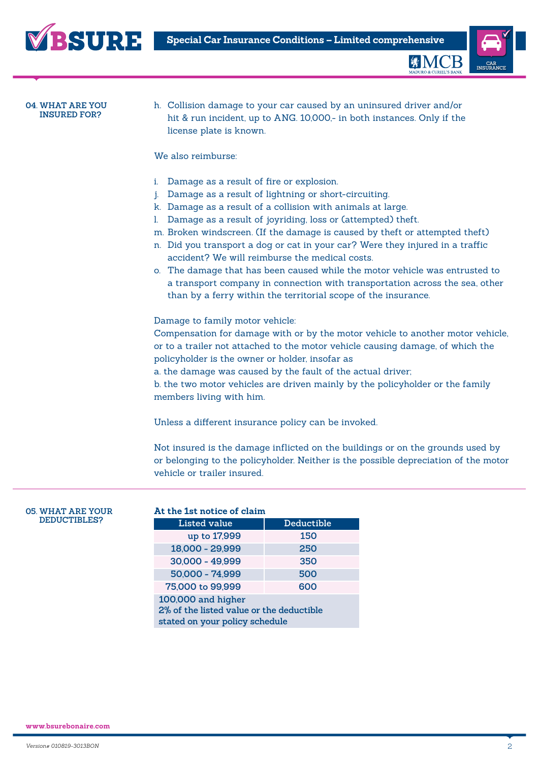



**EMCB** 

#### **04. WHAT ARE YOU INSURED FOR?**

h. Collision damage to your car caused by an uninsured driver and/or hit & run incident, up to ANG. 10,000,- in both instances. Only if the license plate is known.

# We also reimburse:

- i. Damage as a result of fire or explosion.
- j. Damage as a result of lightning or short-circuiting.
- k. Damage as a result of a collision with animals at large.
- l. Damage as a result of joyriding, loss or (attempted) theft.
- m. Broken windscreen. (If the damage is caused by theft or attempted theft)
- n. Did you transport a dog or cat in your car? Were they injured in a traffic accident? We will reimburse the medical costs.
- o. The damage that has been caused while the motor vehicle was entrusted to a transport company in connection with transportation across the sea, other than by a ferry within the territorial scope of the insurance.

Damage to family motor vehicle:

Compensation for damage with or by the motor vehicle to another motor vehicle, or to a trailer not attached to the motor vehicle causing damage, of which the policyholder is the owner or holder, insofar as

a. the damage was caused by the fault of the actual driver;

b. the two motor vehicles are driven mainly by the policyholder or the family members living with him.

Unless a different insurance policy can be invoked.

Not insured is the damage inflicted on the buildings or on the grounds used by or belonging to the policyholder. Neither is the possible depreciation of the motor vehicle or trailer insured.

#### **05. WHAT ARE YOUR DEDUCTIBLES?**

| At the 1st notice of claim                                                                       |            |  |  |  |
|--------------------------------------------------------------------------------------------------|------------|--|--|--|
| Listed value                                                                                     | Deductible |  |  |  |
| up to 17,999                                                                                     | 150        |  |  |  |
| 18,000 - 29,999                                                                                  | 250        |  |  |  |
| 30,000 - 49,999                                                                                  | 350        |  |  |  |
| 50,000 - 74,999                                                                                  | 500        |  |  |  |
| 75,000 to 99,999                                                                                 | 600        |  |  |  |
| 100,000 and higher<br>2% of the listed value or the deductible<br>stated on your policy schedule |            |  |  |  |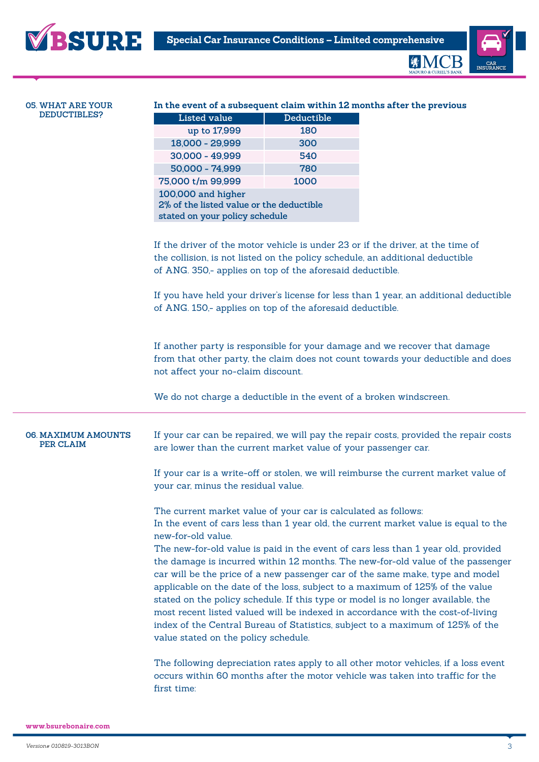



**MADURO & CURIEL'S BANK** 

| <b>05. WHAT ARE YOUR</b>                | In the event of a subsequent claim within 12 months after the previous                                                                                                                                                                                                                                                                                                                                                                                                                                                                                                                                                                  |            |                                                                                                                                                                                                                                                           |  |  |
|-----------------------------------------|-----------------------------------------------------------------------------------------------------------------------------------------------------------------------------------------------------------------------------------------------------------------------------------------------------------------------------------------------------------------------------------------------------------------------------------------------------------------------------------------------------------------------------------------------------------------------------------------------------------------------------------------|------------|-----------------------------------------------------------------------------------------------------------------------------------------------------------------------------------------------------------------------------------------------------------|--|--|
| DEDUCTIBLES?                            | <b>Listed value</b>                                                                                                                                                                                                                                                                                                                                                                                                                                                                                                                                                                                                                     | Deductible |                                                                                                                                                                                                                                                           |  |  |
|                                         | up to 17,999                                                                                                                                                                                                                                                                                                                                                                                                                                                                                                                                                                                                                            | 180        |                                                                                                                                                                                                                                                           |  |  |
|                                         | 18,000 - 29,999                                                                                                                                                                                                                                                                                                                                                                                                                                                                                                                                                                                                                         | 300        |                                                                                                                                                                                                                                                           |  |  |
|                                         | 30,000 - 49,999                                                                                                                                                                                                                                                                                                                                                                                                                                                                                                                                                                                                                         | 540        |                                                                                                                                                                                                                                                           |  |  |
|                                         | 50,000 - 74,999                                                                                                                                                                                                                                                                                                                                                                                                                                                                                                                                                                                                                         | 780        |                                                                                                                                                                                                                                                           |  |  |
|                                         | 75,000 t/m 99,999                                                                                                                                                                                                                                                                                                                                                                                                                                                                                                                                                                                                                       | 1000       |                                                                                                                                                                                                                                                           |  |  |
|                                         | 100,000 and higher<br>2% of the listed value or the deductible<br>stated on your policy schedule                                                                                                                                                                                                                                                                                                                                                                                                                                                                                                                                        |            |                                                                                                                                                                                                                                                           |  |  |
|                                         | of ANG. 350,- applies on top of the aforesaid deductible.<br>of ANG. 150,- applies on top of the aforesaid deductible.                                                                                                                                                                                                                                                                                                                                                                                                                                                                                                                  |            | If the driver of the motor vehicle is under 23 or if the driver, at the time of<br>the collision, is not listed on the policy schedule, an additional deductible<br>If you have held your driver's license for less than 1 year, an additional deductible |  |  |
|                                         | If another party is responsible for your damage and we recover that damage<br>from that other party, the claim does not count towards your deductible and does<br>not affect your no-claim discount.<br>We do not charge a deductible in the event of a broken windscreen.                                                                                                                                                                                                                                                                                                                                                              |            |                                                                                                                                                                                                                                                           |  |  |
| <b>06. MAXIMUM AMOUNTS</b><br>PER CLAIM | are lower than the current market value of your passenger car.                                                                                                                                                                                                                                                                                                                                                                                                                                                                                                                                                                          |            | If your car can be repaired, we will pay the repair costs, provided the repair costs                                                                                                                                                                      |  |  |
|                                         | your car, minus the residual value.                                                                                                                                                                                                                                                                                                                                                                                                                                                                                                                                                                                                     |            | If your car is a write-off or stolen, we will reimburse the current market value of                                                                                                                                                                       |  |  |
|                                         | The current market value of your car is calculated as follows:<br>new-for-old value.                                                                                                                                                                                                                                                                                                                                                                                                                                                                                                                                                    |            | In the event of cars less than 1 year old, the current market value is equal to the                                                                                                                                                                       |  |  |
|                                         | The new-for-old value is paid in the event of cars less than 1 year old, provided<br>the damage is incurred within 12 months. The new-for-old value of the passenger<br>car will be the price of a new passenger car of the same make, type and model<br>applicable on the date of the loss, subject to a maximum of 125% of the value<br>stated on the policy schedule. If this type or model is no longer available, the<br>most recent listed valued will be indexed in accordance with the cost-of-living<br>index of the Central Bureau of Statistics, subject to a maximum of 125% of the<br>value stated on the policy schedule. |            |                                                                                                                                                                                                                                                           |  |  |
|                                         | The following depreciation rates apply to all other motor vehicles, if a loss event<br>occurs within 60 months after the motor vehicle was taken into traffic for the<br>first time:                                                                                                                                                                                                                                                                                                                                                                                                                                                    |            |                                                                                                                                                                                                                                                           |  |  |

**www.bsurebonaire.com**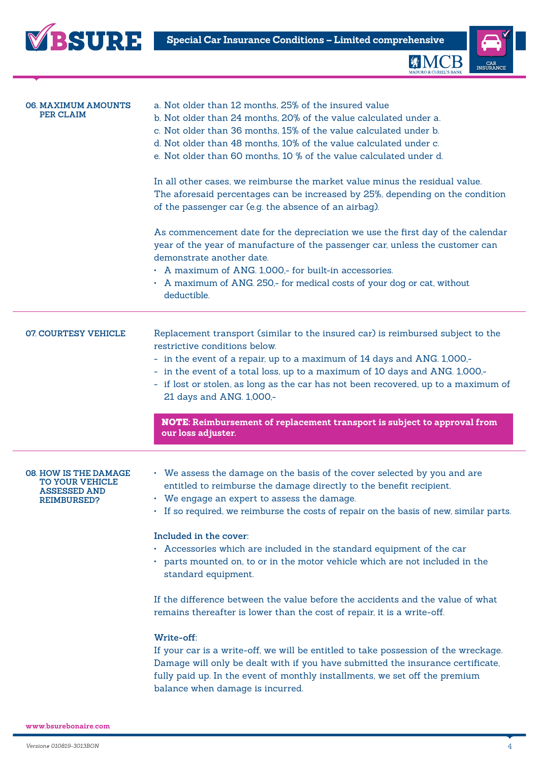



| <b>06. MAXIMUM AMOUNTS</b><br>PER CLAIM                                                      | a. Not older than 12 months, 25% of the insured value<br>b. Not older than 24 months, 20% of the value calculated under a.<br>c. Not older than 36 months, 15% of the value calculated under b.<br>d. Not older than 48 months, 10% of the value calculated under c.<br>e. Not older than 60 months, 10 % of the value calculated under d.                                                   |
|----------------------------------------------------------------------------------------------|----------------------------------------------------------------------------------------------------------------------------------------------------------------------------------------------------------------------------------------------------------------------------------------------------------------------------------------------------------------------------------------------|
|                                                                                              | In all other cases, we reimburse the market value minus the residual value.<br>The aforesaid percentages can be increased by 25%, depending on the condition<br>of the passenger car (e.g. the absence of an airbag).                                                                                                                                                                        |
|                                                                                              | As commencement date for the depreciation we use the first day of the calendar<br>year of the year of manufacture of the passenger car, unless the customer can<br>demonstrate another date.<br>• A maximum of ANG. 1,000,- for built-in accessories.<br>• A maximum of ANG. 250,- for medical costs of your dog or cat, without<br>deductible.                                              |
| <b>07 COURTESY VEHICLE</b>                                                                   | Replacement transport (similar to the insured car) is reimbursed subject to the<br>restrictive conditions below.<br>- in the event of a repair, up to a maximum of 14 days and ANG. 1,000,-<br>- in the event of a total loss, up to a maximum of 10 days and ANG. 1,000,-<br>- if lost or stolen, as long as the car has not been recovered, up to a maximum of<br>21 days and ANG. 1,000,- |
|                                                                                              | NOTE: Reimbursement of replacement transport is subject to approval from<br>our loss adjuster.                                                                                                                                                                                                                                                                                               |
|                                                                                              |                                                                                                                                                                                                                                                                                                                                                                                              |
| <b>08. HOW IS THE DAMAGE</b><br>TO YOUR VEHICLE<br><b>ASSESSED AND</b><br><b>REIMBURSED?</b> | • We assess the damage on the basis of the cover selected by you and are<br>entitled to reimburse the damage directly to the benefit recipient.<br>We engage an expert to assess the damage.<br>• If so required, we reimburse the costs of repair on the basis of new, similar parts.                                                                                                       |
|                                                                                              | Included in the cover:<br>• Accessories which are included in the standard equipment of the car<br>• parts mounted on, to or in the motor vehicle which are not included in the<br>standard equipment.                                                                                                                                                                                       |
|                                                                                              | If the difference between the value before the accidents and the value of what<br>remains thereafter is lower than the cost of repair, it is a write-off.                                                                                                                                                                                                                                    |
|                                                                                              | Write-off:<br>If your car is a write-off, we will be entitled to take possession of the wreckage.<br>Damage will only be dealt with if you have submitted the insurance certificate,<br>fully paid up. In the event of monthly installments, we set off the premium<br>balance when damage is incurred.                                                                                      |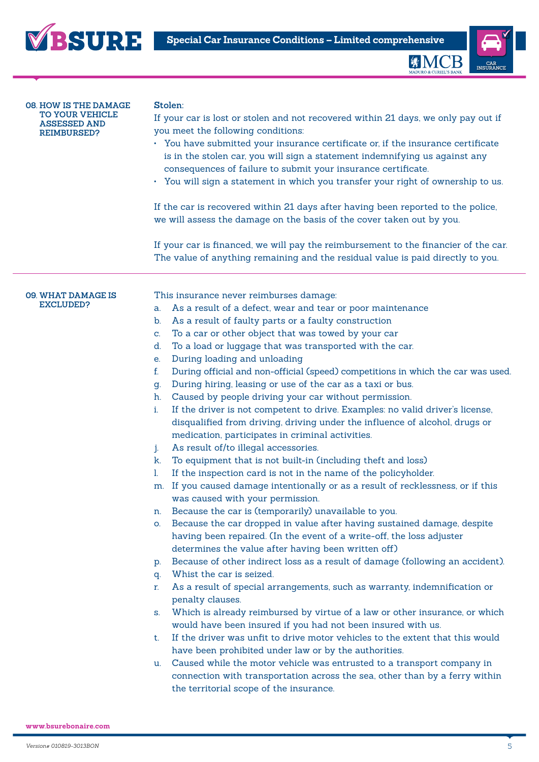



缘M(

**08. HOW IS THE DAMAGE TO YOUR VEHICLE ASSESSED AND REIMBURSED?**

#### **Stolen:**

If your car is lost or stolen and not recovered within 21 days, we only pay out if you meet the following conditions:

- You have submitted your insurance certificate or, if the insurance certificate is in the stolen car, you will sign a statement indemnifying us against any consequences of failure to submit your insurance certificate.
- You will sign a statement in which you transfer your right of ownership to us.

If the car is recovered within 21 days after having been reported to the police, we will assess the damage on the basis of the cover taken out by you.

If your car is financed, we will pay the reimbursement to the financier of the car. The value of anything remaining and the residual value is paid directly to you.

#### **09. WHAT DAMAGE IS EXCLUDED?**

This insurance never reimburses damage:

- a. As a result of a defect, wear and tear or poor maintenance
- b. As a result of faulty parts or a faulty construction
- c. To a car or other object that was towed by your car
- d. To a load or luggage that was transported with the car.
- e. During loading and unloading
- f. During official and non-official (speed) competitions in which the car was used.
- g. During hiring, leasing or use of the car as a taxi or bus.
- h. Caused by people driving your car without permission.
- i. If the driver is not competent to drive. Examples: no valid driver's license, disqualified from driving, driving under the influence of alcohol, drugs or medication, participates in criminal activities.
- j. As result of/to illegal accessories.
- k. To equipment that is not built-in (including theft and loss)
- l. If the inspection card is not in the name of the policyholder.
- m. If you caused damage intentionally or as a result of recklessness, or if this was caused with your permission.
- n. Because the car is (temporarily) unavailable to you.
- o. Because the car dropped in value after having sustained damage, despite having been repaired. (In the event of a write-off, the loss adjuster determines the value after having been written off)
- p. Because of other indirect loss as a result of damage (following an accident).
- q. Whist the car is seized.
- r. As a result of special arrangements, such as warranty, indemnification or penalty clauses.
- s. Which is already reimbursed by virtue of a law or other insurance, or which would have been insured if you had not been insured with us.
- t. If the driver was unfit to drive motor vehicles to the extent that this would have been prohibited under law or by the authorities.
- u. Caused while the motor vehicle was entrusted to a transport company in connection with transportation across the sea, other than by a ferry within the territorial scope of the insurance.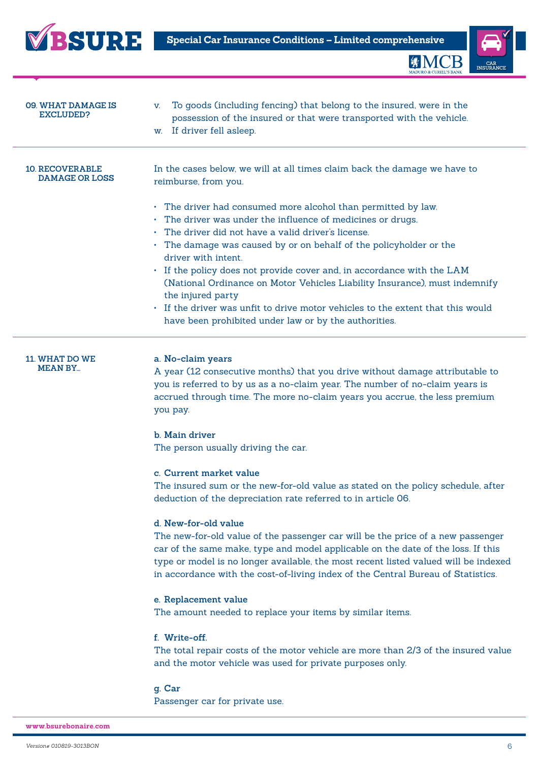



**MMC** 

| 09. WHAT DAMAGE IS<br><b>EXCLUDED?</b>          | To goods (including fencing) that belong to the insured, were in the<br>V.<br>possession of the insured or that were transported with the vehicle.<br>w. If driver fell asleep.                                                                                                                                                                                                                                                                                                                                                                                                                                 |
|-------------------------------------------------|-----------------------------------------------------------------------------------------------------------------------------------------------------------------------------------------------------------------------------------------------------------------------------------------------------------------------------------------------------------------------------------------------------------------------------------------------------------------------------------------------------------------------------------------------------------------------------------------------------------------|
| <b>10. RECOVERABLE</b><br><b>DAMAGE OR LOSS</b> | In the cases below, we will at all times claim back the damage we have to<br>reimburse, from you.                                                                                                                                                                                                                                                                                                                                                                                                                                                                                                               |
|                                                 | • The driver had consumed more alcohol than permitted by law.<br>• The driver was under the influence of medicines or drugs.<br>$\cdot$ The driver did not have a valid driver's license.<br>• The damage was caused by or on behalf of the policyholder or the<br>driver with intent.<br>• If the policy does not provide cover and, in accordance with the LAM<br>(National Ordinance on Motor Vehicles Liability Insurance), must indemnify<br>the injured party<br>• If the driver was unfit to drive motor vehicles to the extent that this would<br>have been prohibited under law or by the authorities. |

**11. WHAT DO WE MEAN BY...**

## **a. No-claim years**

A year (12 consecutive months) that you drive without damage attributable to you is referred to by us as a no-claim year. The number of no-claim years is accrued through time. The more no-claim years you accrue, the less premium you pay.

## **b. Main driver**

The person usually driving the car.

# **c. Current market value**

The insured sum or the new-for-old value as stated on the policy schedule, after deduction of the depreciation rate referred to in article 06.

### **d. New-for-old value**

The new-for-old value of the passenger car will be the price of a new passenger car of the same make, type and model applicable on the date of the loss. If this type or model is no longer available, the most recent listed valued will be indexed in accordance with the cost-of-living index of the Central Bureau of Statistics.

### **e. Replacement value**

The amount needed to replace your items by similar items.

# **f. Write-off.**

The total repair costs of the motor vehicle are more than 2/3 of the insured value and the motor vehicle was used for private purposes only.

**g. Car** Passenger car for private use.

**www.bsurebonaire.com**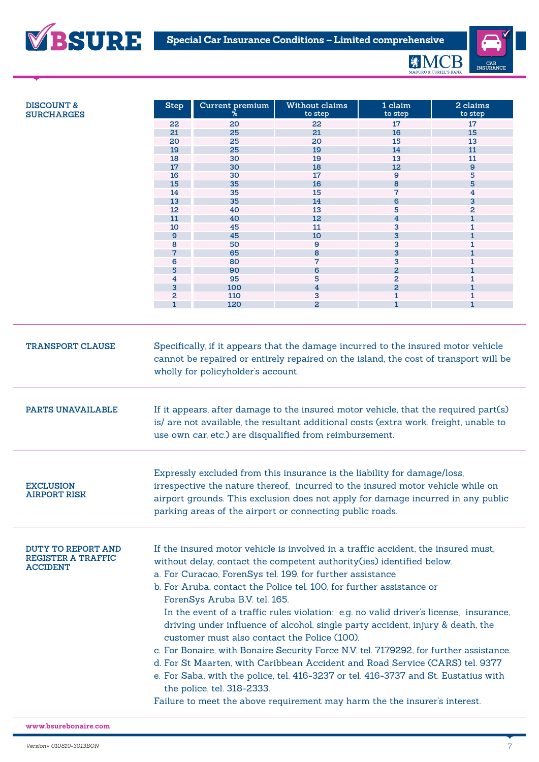

| <b>DISCOUNT &amp;</b>                                                     | <b>Step</b>                                                                                                                                                                                                                                                                                                                                                                                                                                                                                                                                                                                                                                                                                                                                                                                                                                                                                                                              | Current premium | Without claims<br>to step | 1 claim<br>to step      | 2 claims<br>to step |  |
|---------------------------------------------------------------------------|------------------------------------------------------------------------------------------------------------------------------------------------------------------------------------------------------------------------------------------------------------------------------------------------------------------------------------------------------------------------------------------------------------------------------------------------------------------------------------------------------------------------------------------------------------------------------------------------------------------------------------------------------------------------------------------------------------------------------------------------------------------------------------------------------------------------------------------------------------------------------------------------------------------------------------------|-----------------|---------------------------|-------------------------|---------------------|--|
| <b>SURCHARGES</b>                                                         |                                                                                                                                                                                                                                                                                                                                                                                                                                                                                                                                                                                                                                                                                                                                                                                                                                                                                                                                          | 20              | 22                        | 17                      | 17                  |  |
|                                                                           | 22<br>21                                                                                                                                                                                                                                                                                                                                                                                                                                                                                                                                                                                                                                                                                                                                                                                                                                                                                                                                 | 25              | 21                        | 16                      | 15                  |  |
|                                                                           | 20                                                                                                                                                                                                                                                                                                                                                                                                                                                                                                                                                                                                                                                                                                                                                                                                                                                                                                                                       | 25              | 20                        | 15                      | 13                  |  |
|                                                                           | 19                                                                                                                                                                                                                                                                                                                                                                                                                                                                                                                                                                                                                                                                                                                                                                                                                                                                                                                                       | 25              | 19                        | 14                      | 11                  |  |
|                                                                           | 18                                                                                                                                                                                                                                                                                                                                                                                                                                                                                                                                                                                                                                                                                                                                                                                                                                                                                                                                       | 30              | 19                        | 13                      | 11                  |  |
|                                                                           | 17                                                                                                                                                                                                                                                                                                                                                                                                                                                                                                                                                                                                                                                                                                                                                                                                                                                                                                                                       | 30              | 18                        | 12                      | $\mathbf{9}$        |  |
|                                                                           | 16                                                                                                                                                                                                                                                                                                                                                                                                                                                                                                                                                                                                                                                                                                                                                                                                                                                                                                                                       | 30              | 17                        | 9                       | 5                   |  |
|                                                                           | 15                                                                                                                                                                                                                                                                                                                                                                                                                                                                                                                                                                                                                                                                                                                                                                                                                                                                                                                                       | 35              | 16                        | 8                       | 5                   |  |
|                                                                           | 14                                                                                                                                                                                                                                                                                                                                                                                                                                                                                                                                                                                                                                                                                                                                                                                                                                                                                                                                       | 35              | 15                        | $\overline{7}$          | 4                   |  |
|                                                                           | 13                                                                                                                                                                                                                                                                                                                                                                                                                                                                                                                                                                                                                                                                                                                                                                                                                                                                                                                                       | 35              | 14                        | 6                       | 3                   |  |
|                                                                           | 12                                                                                                                                                                                                                                                                                                                                                                                                                                                                                                                                                                                                                                                                                                                                                                                                                                                                                                                                       | 40              | 13                        | 5                       | 2                   |  |
|                                                                           | 11                                                                                                                                                                                                                                                                                                                                                                                                                                                                                                                                                                                                                                                                                                                                                                                                                                                                                                                                       | 40              | 12                        | $\overline{\mathbf{4}}$ | 1                   |  |
|                                                                           | 10                                                                                                                                                                                                                                                                                                                                                                                                                                                                                                                                                                                                                                                                                                                                                                                                                                                                                                                                       | 45              | 11                        | 3                       | 1                   |  |
|                                                                           | $\mathbf{9}$                                                                                                                                                                                                                                                                                                                                                                                                                                                                                                                                                                                                                                                                                                                                                                                                                                                                                                                             | 45              | 10                        | 3                       | $\mathbf{1}$        |  |
|                                                                           | 8                                                                                                                                                                                                                                                                                                                                                                                                                                                                                                                                                                                                                                                                                                                                                                                                                                                                                                                                        | 50              | 9                         | 3                       | 1                   |  |
|                                                                           |                                                                                                                                                                                                                                                                                                                                                                                                                                                                                                                                                                                                                                                                                                                                                                                                                                                                                                                                          | 65              | 8                         | 3                       |                     |  |
|                                                                           | 6                                                                                                                                                                                                                                                                                                                                                                                                                                                                                                                                                                                                                                                                                                                                                                                                                                                                                                                                        | 80              | 7                         | 3                       | 1                   |  |
|                                                                           | 5                                                                                                                                                                                                                                                                                                                                                                                                                                                                                                                                                                                                                                                                                                                                                                                                                                                                                                                                        | 90              | 6                         | $\overline{a}$          | $\mathbf{1}$        |  |
|                                                                           | 4                                                                                                                                                                                                                                                                                                                                                                                                                                                                                                                                                                                                                                                                                                                                                                                                                                                                                                                                        | 95              | 5                         | $\overline{a}$          | 1                   |  |
|                                                                           | 3                                                                                                                                                                                                                                                                                                                                                                                                                                                                                                                                                                                                                                                                                                                                                                                                                                                                                                                                        | 100             | $\overline{4}$            | $\overline{a}$          | $\mathbf{1}$        |  |
|                                                                           | 2                                                                                                                                                                                                                                                                                                                                                                                                                                                                                                                                                                                                                                                                                                                                                                                                                                                                                                                                        | 110             | 3                         | $\mathbf{1}$            | 1                   |  |
|                                                                           |                                                                                                                                                                                                                                                                                                                                                                                                                                                                                                                                                                                                                                                                                                                                                                                                                                                                                                                                          | 120             | $\overline{2}$            | $\mathbf{1}$            | 1                   |  |
| <b>TRANSPORT CLAUSE</b>                                                   | Specifically, if it appears that the damage incurred to the insured motor vehicle<br>cannot be repaired or entirely repaired on the island, the cost of transport will be<br>wholly for policyholder's account.                                                                                                                                                                                                                                                                                                                                                                                                                                                                                                                                                                                                                                                                                                                          |                 |                           |                         |                     |  |
| PARTS UNAVAILABLE                                                         | If it appears, after damage to the insured motor vehicle, that the required part(s)<br>is/ are not available, the resultant additional costs (extra work, freight, unable to<br>use own car, etc.) are disqualified from reimbursement.                                                                                                                                                                                                                                                                                                                                                                                                                                                                                                                                                                                                                                                                                                  |                 |                           |                         |                     |  |
| <b>EXCLUSION</b><br><b>AIRPORT RISK</b>                                   | Expressly excluded from this insurance is the liability for damage/loss,<br>irrespective the nature thereof, incurred to the insured motor vehicle while on<br>airport grounds. This exclusion does not apply for damage incurred in any public<br>parking areas of the airport or connecting public roads.                                                                                                                                                                                                                                                                                                                                                                                                                                                                                                                                                                                                                              |                 |                           |                         |                     |  |
| <b>DUTY TO REPORT AND</b><br><b>REGISTER A TRAFFIC</b><br><b>ACCIDENT</b> | If the insured motor vehicle is involved in a traffic accident, the insured must,<br>without delay, contact the competent authority(ies) identified below.<br>a. For Curacao, ForenSys tel. 199, for further assistance<br>b. For Aruba, contact the Police tel. 100, for further assistance or<br>ForenSys Aruba B.V. tel. 165.<br>In the event of a traffic rules violation: e.g. no valid driver's license, insurance,<br>driving under influence of alcohol, single party accident, injury & death, the<br>customer must also contact the Police (100).<br>c. For Bonaire, with Bonaire Security Force N.V. tel. 7179292, for further assistance.<br>d. For St Maarten, with Caribbean Accident and Road Service (CARS) tel. 9377<br>e. For Saba, with the police, tel. 416-3237 or tel. 416-3737 and St. Eustatius with<br>the police, tel. 318-2333.<br>Failure to meet the above requirement may harm the the insurer's interest. |                 |                           |                         |                     |  |
|                                                                           |                                                                                                                                                                                                                                                                                                                                                                                                                                                                                                                                                                                                                                                                                                                                                                                                                                                                                                                                          |                 |                           |                         |                     |  |

**www.bsurebonaire.com**

**VBSURE**